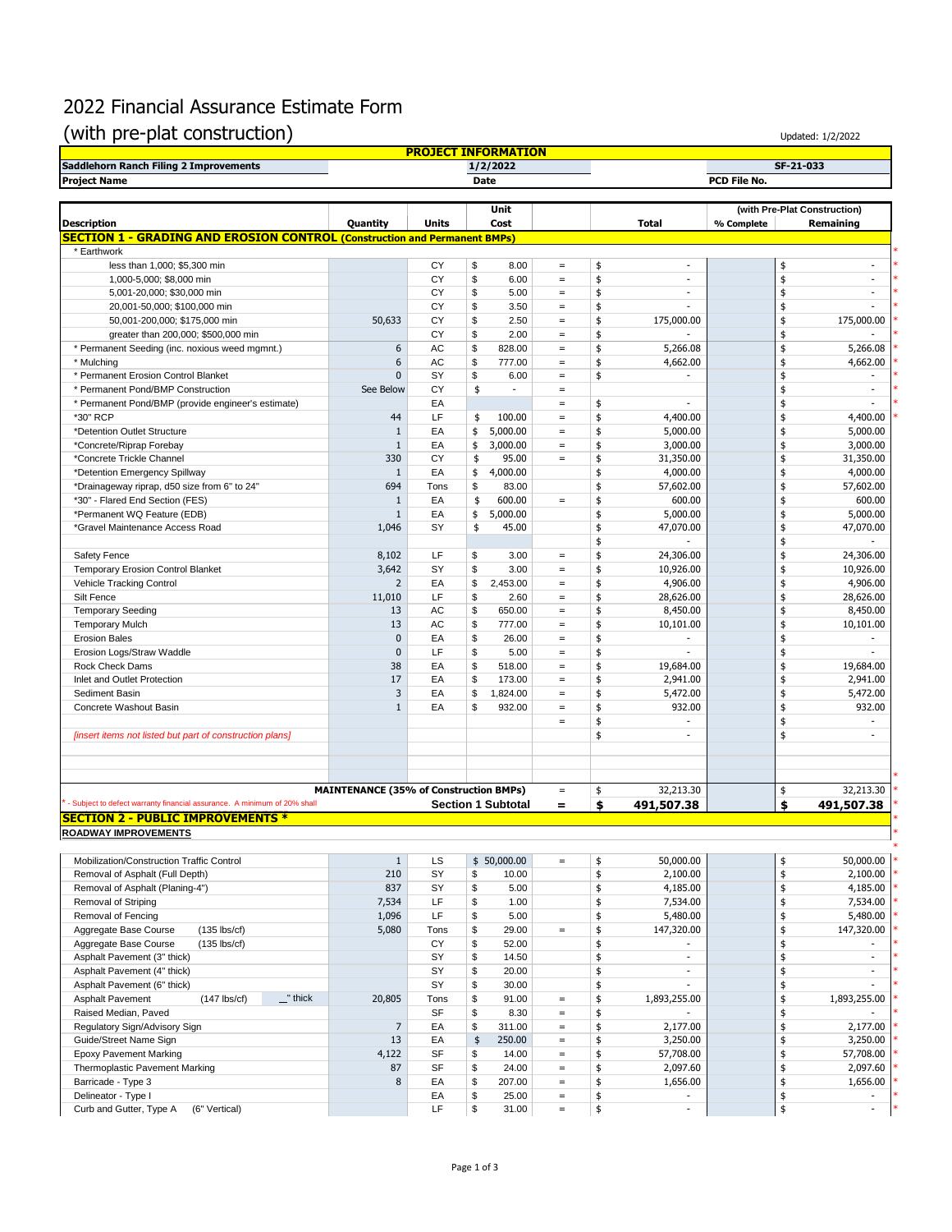# 2022 Financial Assurance Estimate Form (with pre-plat construction)

| (with pre-plat construction)                                                     |                                               |                            |               |                           |                   |                                |              | Updated: 1/2/2022                         |
|----------------------------------------------------------------------------------|-----------------------------------------------|----------------------------|---------------|---------------------------|-------------------|--------------------------------|--------------|-------------------------------------------|
|                                                                                  |                                               | <b>PROJECT INFORMATION</b> |               |                           |                   |                                |              |                                           |
| Saddlehorn Ranch Filing 2 Improvements                                           |                                               |                            |               | 1/2/2022                  |                   |                                |              | SF-21-033                                 |
| <b>Project Name</b>                                                              |                                               |                            | <b>Date</b>   |                           |                   |                                | PCD File No. |                                           |
|                                                                                  |                                               |                            |               |                           |                   |                                |              |                                           |
| <b>Description</b>                                                               | Quantity                                      | <b>Units</b>               |               | Unit<br>Cost              |                   | <b>Total</b>                   | % Complete   | (with Pre-Plat Construction)<br>Remaining |
| <b>SECTION 1 - GRADING AND EROSION CONTROL (Construction and Permanent BMPs)</b> |                                               |                            |               |                           |                   |                                |              |                                           |
| * Earthwork                                                                      |                                               |                            |               |                           |                   |                                |              |                                           |
| less than 1,000; \$5,300 min                                                     |                                               | CY                         | \$            | 8.00                      | $\equiv$          | \$<br>$\sim$                   |              | \$<br>÷,                                  |
| 1,000-5,000; \$8,000 min                                                         |                                               | CY                         | \$            | 6.00                      | $\equiv$          | \$                             |              | \$<br>÷,                                  |
| 5,001-20,000; \$30,000 min                                                       |                                               | CY                         | \$            | 5.00                      | $\equiv$          | \$<br>$\sim$                   |              | \$<br>٠                                   |
| 20,001-50,000; \$100,000 min                                                     |                                               | CY                         | \$            | 3.50                      | $\equiv$          | \$<br>٠                        |              | \$<br>٠                                   |
| 50,001-200,000; \$175,000 min                                                    | 50,633                                        | CY                         | \$            | 2.50                      | $\equiv$          | \$<br>175,000.00               |              | \$<br>175,000.00                          |
| greater than 200,000; \$500,000 min                                              |                                               | CY                         | \$            | 2.00                      | $\, =$            | \$                             |              | \$                                        |
| * Permanent Seeding (inc. noxious weed mgmnt.)                                   | 6                                             | AC                         | \$            | 828.00                    | $\equiv$          | \$<br>5,266.08                 |              | \$<br>5,266.08                            |
| * Mulching                                                                       | 6                                             | AC                         | \$            | 777.00                    | $\, =$            | \$<br>4,662.00                 |              | \$<br>4,662.00                            |
| * Permanent Erosion Control Blanket                                              | $\Omega$                                      | SY                         | \$            | 6.00                      | $\, =$            | \$                             |              | \$                                        |
| * Permanent Pond/BMP Construction                                                | See Below                                     | СY                         | \$            | ä,                        | $\qquad \qquad =$ |                                |              | \$<br>÷.                                  |
| * Permanent Pond/BMP (provide engineer's estimate)                               |                                               | EA                         |               |                           | $\, =$            | \$                             |              | \$                                        |
| *30" RCP                                                                         | 44                                            | LF                         | \$            | 100.00                    | $\equiv$          | \$<br>4,400.00                 |              | \$<br>4,400.00                            |
| *Detention Outlet Structure                                                      | $\mathbf{1}$                                  | EA                         | \$            | 5,000.00                  | $\equiv$          | \$<br>5,000.00                 |              | \$<br>5,000.00                            |
| *Concrete/Riprap Forebay                                                         | $\mathbf{1}$                                  | EA                         | \$            | 3,000.00                  | $\equiv$          | \$<br>3,000.00                 |              | \$<br>3,000.00                            |
| *Concrete Trickle Channel                                                        | 330                                           | CY                         | \$            | 95.00                     | $\equiv$          | \$<br>31,350.00                |              | \$<br>31,350.00                           |
| *Detention Emergency Spillway                                                    | $\mathbf{1}$                                  | EA                         | \$            | 4,000.00                  |                   | \$<br>4,000.00                 |              | \$<br>4,000.00                            |
| *Drainageway riprap, d50 size from 6" to 24"                                     | 694                                           | Tons                       | \$            | 83.00                     |                   | \$<br>57,602.00                |              | \$<br>57,602.00                           |
| *30" - Flared End Section (FES)                                                  | $\mathbf{1}$                                  | EA                         | \$            | 600.00                    | $\equiv$          | \$<br>600.00                   |              | \$<br>600.00                              |
| *Permanent WQ Feature (EDB)                                                      | $\mathbf{1}$                                  | EA                         | \$            | 5,000.00                  |                   | \$<br>5,000.00                 |              | \$<br>5,000.00                            |
| *Gravel Maintenance Access Road                                                  | 1,046                                         | SY                         | \$            | 45.00                     |                   | \$<br>47,070.00                |              | \$<br>47,070.00                           |
|                                                                                  |                                               |                            |               |                           |                   | \$                             |              | \$                                        |
| Safety Fence                                                                     | 8,102                                         | LF                         | \$            | 3.00                      | $\equiv$          | \$<br>24,306.00                |              | \$<br>24,306.00                           |
| Temporary Erosion Control Blanket                                                | 3,642                                         | SY                         | \$            | 3.00                      | $\equiv$          | \$<br>10,926.00                |              | 10,926.00<br>\$                           |
| Vehicle Tracking Control                                                         | $\overline{2}$                                | EA                         | \$            | 2,453.00                  | $=$               | \$<br>4,906.00                 |              | \$<br>4,906.00                            |
| Silt Fence                                                                       | 11,010                                        | LF                         | \$            | 2.60                      | $\equiv$          | \$<br>28,626.00                |              | \$<br>28,626.00                           |
| <b>Temporary Seeding</b>                                                         | 13                                            | AC                         | \$            | 650.00                    | $\equiv$          | \$<br>8,450.00                 |              | \$<br>8,450.00                            |
| <b>Temporary Mulch</b>                                                           | 13                                            | AC                         | \$            | 777.00                    | $\equiv$          | \$<br>10,101.00                |              | \$<br>10,101.00                           |
| <b>Erosion Bales</b>                                                             | $\mathbf{0}$                                  | EA                         | \$            | 26.00                     | $\equiv$          | \$<br>$\sim$                   |              | \$                                        |
| Erosion Logs/Straw Waddle                                                        | $\mathbf{0}$                                  | LF                         | \$            | 5.00                      | $\equiv$          | \$<br>÷.                       |              | \$<br>$\sim$                              |
| Rock Check Dams                                                                  | 38                                            | EA                         | \$            | 518.00                    | $\equiv$          | \$<br>19,684.00                |              | \$<br>19,684.00                           |
| Inlet and Outlet Protection                                                      | 17                                            | EA                         | \$            | 173.00                    | $\, =$            | \$<br>2,941.00                 |              | \$<br>2,941.00                            |
| Sediment Basin                                                                   | 3                                             | EA                         | \$            | 1,824.00                  | $\, =$            | \$<br>5,472.00                 |              | \$<br>5,472.00                            |
| Concrete Washout Basin                                                           | $\mathbf{1}$                                  | EA                         | \$            | 932.00                    | $\equiv$          | \$<br>932.00                   |              | \$<br>932.00                              |
|                                                                                  |                                               |                            |               |                           | $\, =$            | \$<br>٠                        |              | \$<br>$\sim$                              |
|                                                                                  |                                               |                            |               |                           |                   | \$<br>÷.                       |              | \$<br>٠                                   |
| [insert items not listed but part of construction plans]                         |                                               |                            |               |                           |                   |                                |              |                                           |
|                                                                                  |                                               |                            |               |                           |                   |                                |              |                                           |
|                                                                                  |                                               |                            |               |                           |                   |                                |              |                                           |
|                                                                                  | <b>MAINTENANCE (35% of Construction BMPs)</b> |                            |               |                           |                   | 32,213.30                      |              | 32,213.30                                 |
| - Subject to defect warranty financial assurance. A minimum of 20% shall         |                                               |                            |               |                           | $\,=\,$           | \$                             |              | \$<br>\$                                  |
| <b>SECTION 2 - PUBLIC IMPROVEMENTS *</b>                                         |                                               |                            |               | <b>Section 1 Subtotal</b> | $=$               | \$<br>491,507.38               |              | 491,507.38                                |
|                                                                                  |                                               |                            |               |                           |                   |                                |              |                                           |
| <b>ROADWAY IMPROVEMENTS</b>                                                      |                                               |                            |               |                           |                   |                                |              |                                           |
|                                                                                  |                                               |                            |               |                           |                   |                                |              |                                           |
| Mobilization/Construction Traffic Control<br>Removal of Asphalt (Full Depth)     | $\mathbf{1}$<br>210                           | <b>LS</b><br>SY            |               | \$50,000.00               | $\equiv$          | \$<br>50,000.00                |              | \$<br>50,000.00                           |
|                                                                                  |                                               |                            | \$            | 10.00                     |                   | \$<br>2,100.00                 |              | \$<br>2,100.00                            |
| Removal of Asphalt (Planing-4")                                                  | 837                                           | SY                         | \$            | 5.00                      |                   | \$<br>4,185.00                 |              | \$<br>4,185.00                            |
| Removal of Striping                                                              | 7,534                                         | LF                         | \$            | 1.00                      |                   | \$<br>7,534.00                 |              | \$<br>7,534.00                            |
| Removal of Fencing                                                               | 1,096                                         | LF.                        | \$            | 5.00                      |                   | \$<br>5,480.00                 |              | 5,480.00<br>\$                            |
| Aggregate Base Course<br>$(135$ lbs/cf)                                          | 5,080                                         | Tons                       | \$            | 29.00                     | $\equiv$          | \$<br>147,320.00               |              | \$<br>147,320.00                          |
| Aggregate Base Course<br>$(135$ lbs/cf)                                          |                                               | CY                         | \$            | 52.00                     |                   | \$                             |              | \$                                        |
| Asphalt Pavement (3" thick)                                                      |                                               | SY                         | \$            | 14.50                     |                   | \$<br>$\overline{\phantom{a}}$ |              | \$<br>$\blacksquare$                      |
| Asphalt Pavement (4" thick)                                                      |                                               | SY                         | \$            | 20.00                     |                   | \$<br>$\overline{\phantom{a}}$ |              | \$<br>$\blacksquare$                      |
| Asphalt Pavement (6" thick)                                                      |                                               | SY                         | \$            | 30.00                     |                   | \$<br>÷.                       |              | \$<br>÷                                   |
| Asphalt Pavement<br>$\mathbf{r}$ thick<br>$(147$ lbs/cf)                         | 20,805                                        | Tons                       | \$            | 91.00                     | $\equiv$          | \$<br>1,893,255.00             |              | \$<br>1,893,255.00                        |
| Raised Median, Paved                                                             |                                               | SF                         | \$            | 8.30                      | $\equiv$          | \$                             |              | \$                                        |
| Regulatory Sign/Advisory Sign                                                    | $\overline{7}$                                | EA                         | \$            | 311.00                    | $\equiv$          | \$<br>2,177.00                 |              | \$<br>2,177.00                            |
| Guide/Street Name Sign                                                           | 13                                            | EA                         | $\frac{1}{2}$ | 250.00                    | $\equiv$          | \$<br>3,250.00                 |              | \$<br>3,250.00                            |
| <b>Epoxy Pavement Marking</b>                                                    | 4,122                                         | SF                         | \$            | 14.00                     | $\equiv$          | \$<br>57,708.00                |              | \$<br>57,708.00                           |
| Thermoplastic Pavement Marking                                                   | 87                                            | SF                         | \$            | 24.00                     | $\equiv$          | \$<br>2,097.60                 |              | \$<br>2,097.60                            |
| Barricade - Type 3                                                               | 8                                             | EA                         | \$            | 207.00                    | $\equiv$          | \$<br>1,656.00                 |              | \$<br>1,656.00                            |
| Delineator - Type I                                                              |                                               | EA                         | \$            | 25.00                     | $\equiv$          | \$                             |              | \$                                        |
| Curb and Gutter, Type A<br>(6" Vertical)                                         |                                               | LF                         | \$            | 31.00                     | $\equiv$          | \$<br>$\blacksquare$           |              | \$<br>$\blacksquare$                      |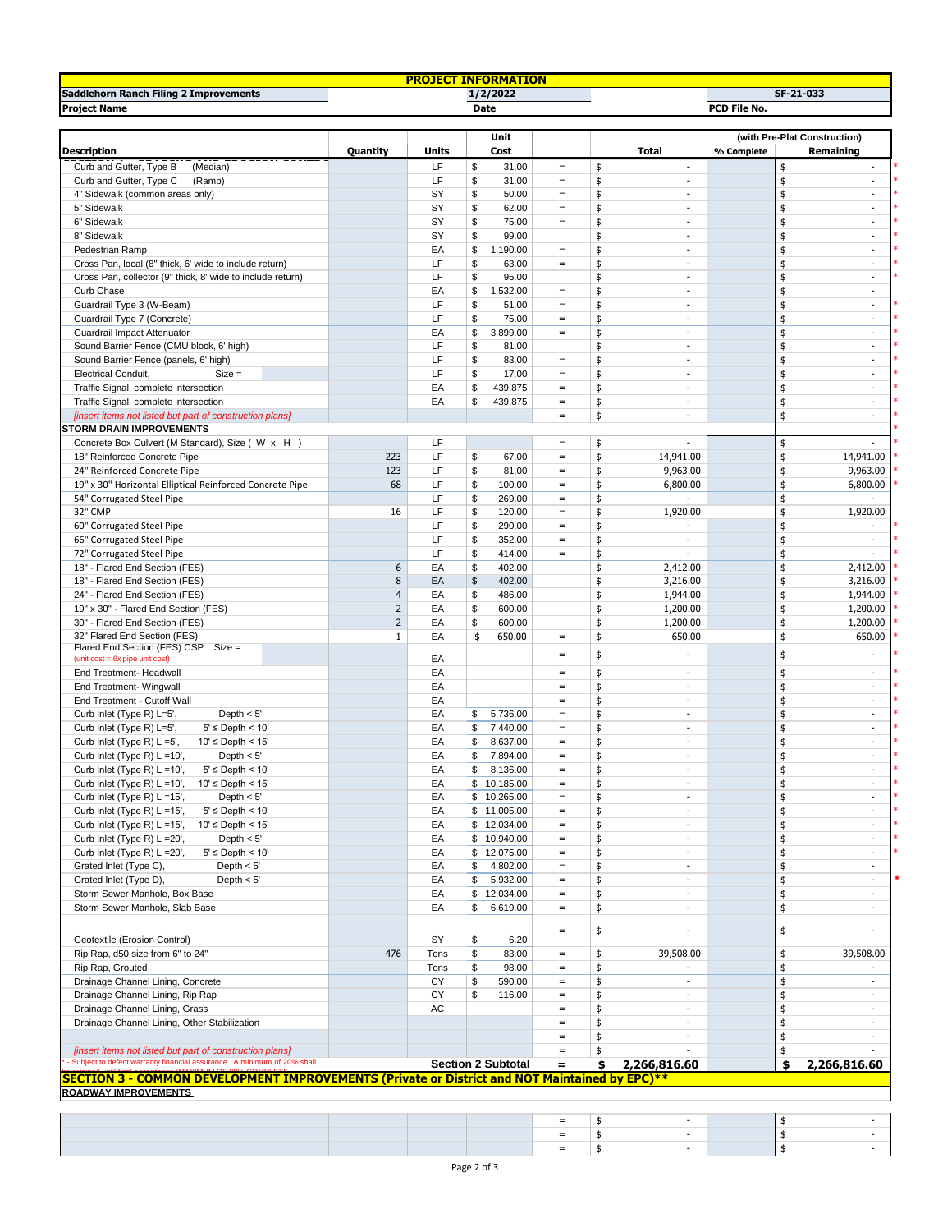|                                                                                               |                |             | <b>PROJECT INFORMATION</b>       |                               |              |                          |                              |               |                                                      |  |  |  |
|-----------------------------------------------------------------------------------------------|----------------|-------------|----------------------------------|-------------------------------|--------------|--------------------------|------------------------------|---------------|------------------------------------------------------|--|--|--|
| Saddlehorn Ranch Filing 2 Improvements                                                        |                |             | 1/2/2022                         |                               |              | SF-21-033                |                              |               |                                                      |  |  |  |
| <b>Project Name</b>                                                                           |                |             | Date                             |                               | PCD File No. |                          |                              |               |                                                      |  |  |  |
|                                                                                               |                |             |                                  |                               |              |                          | (with Pre-Plat Construction) |               |                                                      |  |  |  |
|                                                                                               |                |             | Unit                             |                               |              |                          | % Complete                   |               |                                                      |  |  |  |
| <b>Description</b>                                                                            | Quantity       | Units<br>LF | Cost                             |                               |              | <b>Total</b><br>$\sim$   |                              |               | Remaining<br>$\sim$                                  |  |  |  |
| Curb and Gutter, Type B<br>(Median)<br>Curb and Gutter, Type C                                |                | LF          | \$<br>31.00<br>31.00             | $\equiv$<br>$\qquad \qquad =$ | \$           | $\sim$                   |                              | \$<br>\$      | ÷.                                                   |  |  |  |
| (Ramp)<br>4" Sidewalk (common areas only)                                                     |                | SY          | \$<br>\$<br>50.00                | $\qquad \qquad =$             | \$<br>\$     | $\overline{\phantom{a}}$ |                              | \$            | $\overline{\phantom{a}}$                             |  |  |  |
| 5" Sidewalk                                                                                   |                | SY          | \$<br>62.00                      | $\qquad \qquad =$             | \$           | $\overline{\phantom{a}}$ |                              | \$            | $\overline{\phantom{a}}$                             |  |  |  |
| 6" Sidewalk                                                                                   |                | SY          | \$<br>75.00                      | $\qquad \qquad =$             | \$           | $\sim$                   |                              | \$            | $\overline{\phantom{a}}$                             |  |  |  |
| 8" Sidewalk                                                                                   |                | SY          | \$<br>99.00                      |                               | \$           | $\sim$                   |                              | \$            | $\sim$                                               |  |  |  |
| Pedestrian Ramp                                                                               |                | EA          | \$<br>1,190.00                   | $\qquad \qquad =$             | \$           | $\sim$                   |                              | \$            | $\sim$                                               |  |  |  |
| Cross Pan, local (8" thick, 6' wide to include return)                                        |                | LF          | \$<br>63.00                      | $\qquad \qquad =$             | \$           | $\sim$                   |                              | \$            | $\sim$                                               |  |  |  |
| Cross Pan, collector (9" thick, 8' wide to include return)                                    |                | LF          | \$<br>95.00                      |                               | \$           | $\sim$                   |                              | \$            | $\sim$                                               |  |  |  |
| Curb Chase                                                                                    |                | EA          | \$<br>1,532.00                   | $\qquad \qquad =$             | \$           | $\sim$                   |                              | \$            | $\sim$                                               |  |  |  |
| Guardrail Type 3 (W-Beam)                                                                     |                | LF          | \$<br>51.00                      | $\qquad \qquad =$             | \$           | $\sim$                   |                              | \$            | $\sim$                                               |  |  |  |
| Guardrail Type 7 (Concrete)                                                                   |                | LF          | \$<br>75.00                      | $=$                           | \$           | $\sim$                   |                              | \$            | $\sim$                                               |  |  |  |
| Guardrail Impact Attenuator                                                                   |                | EA          | \$<br>3,899.00                   | $\qquad \qquad =$             | \$           | $\sim$                   |                              | \$            | $\sim$                                               |  |  |  |
| Sound Barrier Fence (CMU block, 6' high)                                                      |                | LF          | \$<br>81.00                      |                               | \$           | $\sim$                   |                              | \$            | $\sim$                                               |  |  |  |
| Sound Barrier Fence (panels, 6' high)                                                         |                | LF          | \$<br>83.00                      | $\qquad \qquad =$             | \$           | $\sim$                   |                              | \$            | $\overline{\phantom{a}}$                             |  |  |  |
| <b>Electrical Conduit,</b><br>$Size =$                                                        |                | LF          | \$<br>17.00                      | $\qquad \qquad =$             | \$           | $\sim$                   |                              | \$            | $\overline{\phantom{a}}$                             |  |  |  |
| Traffic Signal, complete intersection                                                         |                | EA          | \$<br>439,875                    | $=$                           | \$           | $\sim$                   |                              | \$            | $\sim$                                               |  |  |  |
| Traffic Signal, complete intersection                                                         |                | EA          | \$<br>439,875                    | $\qquad \qquad =$             | \$           | $\sim$                   |                              | \$            | $\sim$                                               |  |  |  |
| [insert items not listed but part of construction plans]                                      |                |             |                                  | $\qquad \qquad =$             | \$           | $\sim$                   |                              | \$            | $\sim$                                               |  |  |  |
| <b>STORM DRAIN IMPROVEMENTS</b>                                                               |                |             |                                  |                               |              |                          |                              |               |                                                      |  |  |  |
| Concrete Box Culvert (M Standard), Size ( W x H )                                             |                | LF          |                                  | $\qquad \qquad =$             | \$           | $\sim$                   |                              | \$            | $\sim$                                               |  |  |  |
| 18" Reinforced Concrete Pipe                                                                  | 223            | LF          | \$<br>67.00                      | $\qquad \qquad =$             | \$           | 14,941.00                |                              | \$            | 14,941.00                                            |  |  |  |
| 24" Reinforced Concrete Pipe                                                                  | 123            | LF          | \$<br>81.00                      | $\qquad \qquad =$             | \$           | 9,963.00                 |                              | \$            | 9,963.00                                             |  |  |  |
| 19" x 30" Horizontal Elliptical Reinforced Concrete Pipe                                      | 68             | LF<br>LF    | \$<br>100.00                     | $\qquad \qquad =$             | \$           | 6,800.00                 |                              | \$<br>\$      | 6,800.00                                             |  |  |  |
| 54" Corrugated Steel Pipe<br>32" CMP                                                          | 16             | LF          | \$<br>269.00<br>\$               | $\equiv$<br>$\equiv$          | \$           |                          |                              |               |                                                      |  |  |  |
|                                                                                               |                | LF          | 120.00<br>\$<br>290.00           | $\equiv$                      | \$<br>\$     | 1,920.00                 |                              | \$<br>\$      | 1,920.00                                             |  |  |  |
| 60" Corrugated Steel Pipe<br>66" Corrugated Steel Pipe                                        |                | LF          | \$<br>352.00                     | $\qquad \qquad =$             | \$           | ÷.                       |                              | \$            | $\blacksquare$                                       |  |  |  |
| 72" Corrugated Steel Pipe                                                                     |                | LF          | \$<br>414.00                     | $=$                           | \$           | ÷.                       |                              | \$            | ÷                                                    |  |  |  |
| 18" - Flared End Section (FES)                                                                | 6              | EA          | \$<br>402.00                     |                               | \$           | 2,412.00                 |                              | \$            | 2,412.00                                             |  |  |  |
| 18" - Flared End Section (FES)                                                                | 8              | EA          | \$<br>402.00                     |                               | \$           | 3,216.00                 |                              | \$            | 3,216.00                                             |  |  |  |
| 24" - Flared End Section (FES)                                                                | $\overline{4}$ | EA          | \$<br>486.00                     |                               | \$           | 1,944.00                 |                              | \$            | 1,944.00                                             |  |  |  |
| 19" x 30" - Flared End Section (FES)                                                          | $\overline{2}$ | EA          | \$<br>600.00                     |                               | \$           | 1,200.00                 |                              | \$            | 1,200.00                                             |  |  |  |
| 30" - Flared End Section (FES)                                                                | $\overline{2}$ | EA          | \$<br>600.00                     |                               | \$           | 1,200.00                 |                              | \$            | 1,200.00                                             |  |  |  |
| 32" Flared End Section (FES)                                                                  | 1              | EA          | \$<br>650.00                     | $\qquad \qquad =$             | \$           | 650.00                   |                              | \$            | 650.00                                               |  |  |  |
| Flared End Section (FES) CSP Size =                                                           |                |             |                                  | $\qquad \qquad =$             | \$           |                          |                              | \$            |                                                      |  |  |  |
| $(unit cost = 6x pipe unit cost)$                                                             |                | EA          |                                  |                               |              |                          |                              |               |                                                      |  |  |  |
| End Treatment- Headwall                                                                       |                | EA          |                                  | $\qquad \qquad =$             | \$           |                          |                              | \$            | $\sim$                                               |  |  |  |
| End Treatment- Wingwall                                                                       |                | EA          |                                  | $\qquad \qquad =$             | \$           | $\sim$                   |                              | \$            | $\overline{\phantom{a}}$                             |  |  |  |
| End Treatment - Cutoff Wall                                                                   |                | EA<br>EA    |                                  | $=$<br>$=$                    | \$           | $\sim$<br>$\sim$         |                              | \$            | $\overline{\phantom{a}}$<br>$\overline{\phantom{a}}$ |  |  |  |
| Depth $< 5'$<br>Curb Inlet (Type R) L=5',<br>$5' \leq$ Depth < 10'                            |                | EA          | \$<br>5,736.00<br>\$<br>7,440.00 | $\qquad \qquad =$             | \$<br>\$     | $\sim$                   |                              | \$<br>\$      | $\sim$                                               |  |  |  |
| Curb Inlet (Type R) L=5',<br>$10' \leq$ Depth < 15'                                           |                | EA          | \$<br>8,637.00                   | $\qquad \qquad =$             | \$           | $\sim$                   |                              | \$            | $\sim$                                               |  |  |  |
| Curb Inlet (Type R) L =5',<br>Curb Inlet (Type R) $L = 10'$ ,<br>Depth $< 5'$                 |                | EA          | \$<br>7,894.00                   | $\qquad \qquad =$             | \$           | $\sim$                   |                              | \$            | $\sim$                                               |  |  |  |
| $5' \le$ Depth < 10'<br>Curb Inlet (Type R) L =10',                                           |                | EA          | \$<br>8,136.00                   | $\qquad \qquad =$             | \$           |                          |                              | ፋ             |                                                      |  |  |  |
| Curb Inlet (Type R) $L = 10'$ , $10' \leq Depth < 15'$                                        |                | EA          | \$10,185.00                      | $\qquad \qquad =$             | \$           | $\sim$                   |                              | \$            | $\sim$                                               |  |  |  |
| Curb Inlet (Type R) L =15',<br>Depth $< 5'$                                                   |                | EA          | \$10,265.00                      | $\qquad \qquad =$             | \$           | $\sim$                   |                              | \$            | $\overline{\phantom{a}}$                             |  |  |  |
| Curb Inlet (Type R) L =15',<br>$5' \leq$ Depth < 10'                                          |                | EA          | \$11,005.00                      | $\qquad \qquad =$             | \$           | $\overline{\phantom{a}}$ |                              | \$            | $\overline{\phantom{a}}$                             |  |  |  |
| Curb Inlet (Type R) L =15',<br>$10' \leq$ Depth < $15'$                                       |                | EA          | \$12,034.00                      | $\qquad \qquad =$             | \$           | $\overline{\phantom{a}}$ |                              | \$            | $\sim$                                               |  |  |  |
| Curb Inlet (Type R) L = 20',<br>Depth $< 5'$                                                  |                | EA          | \$10,940.00                      | $\equiv$                      | \$           | ÷.                       |                              | \$            | $\sim$                                               |  |  |  |
| $5' \leq$ Depth < 10'<br>Curb Inlet (Type R) L = 20',                                         |                | EA          | \$12,075.00                      | $\qquad \qquad =$             | \$           | $\overline{\phantom{a}}$ |                              | \$            | $\sim$                                               |  |  |  |
| Grated Inlet (Type C),<br>Depth $< 5'$                                                        |                | EA          | \$<br>4,802.00                   | $\qquad \qquad =$             | \$           | $\overline{\phantom{a}}$ |                              | \$            | $\overline{\phantom{a}}$                             |  |  |  |
| Grated Inlet (Type D),<br>Depth $< 5'$                                                        |                | EA          | \$<br>5,932.00                   | $\qquad \qquad =$             | \$           | $\overline{\phantom{a}}$ |                              | \$            | $\overline{\phantom{a}}$                             |  |  |  |
| Storm Sewer Manhole, Box Base                                                                 |                | EA          | \$12,034.00                      | $\qquad \qquad =$             | \$           | $\overline{\phantom{a}}$ |                              | \$            | $\overline{\phantom{a}}$                             |  |  |  |
| Storm Sewer Manhole, Slab Base                                                                |                | EA          | \$<br>6,619.00                   | $\qquad \qquad =$             | \$           | $\overline{\phantom{a}}$ |                              | \$            | $\overline{\phantom{a}}$                             |  |  |  |
|                                                                                               |                |             |                                  |                               |              |                          |                              |               |                                                      |  |  |  |
| Geotextile (Erosion Control)                                                                  |                | SY          | \$<br>6.20                       | $=$                           | \$           | $\overline{\phantom{a}}$ |                              | \$            | $\overline{\phantom{a}}$                             |  |  |  |
| Rip Rap, d50 size from 6" to 24"                                                              | 476            | Tons        | \$<br>83.00                      | $\qquad \qquad =$             | \$           | 39,508.00                |                              | \$            | 39,508.00                                            |  |  |  |
| Rip Rap, Grouted                                                                              |                | Tons        | \$<br>98.00                      | $\qquad \qquad =$             | \$           | ÷.                       |                              | \$            | $\sim$                                               |  |  |  |
| Drainage Channel Lining, Concrete                                                             |                | СY          | \$<br>590.00                     | $\equiv$                      | \$           | ÷.                       |                              | \$            | $\sim$                                               |  |  |  |
| Drainage Channel Lining, Rip Rap                                                              |                | СY          | \$<br>116.00                     | $\qquad \qquad =$             | \$           | $\sim$                   |                              | \$            | $\sim$                                               |  |  |  |
| Drainage Channel Lining, Grass                                                                |                | AC          |                                  | $=$                           | \$           | $\sim$                   |                              | \$            | $\sim$                                               |  |  |  |
| Drainage Channel Lining, Other Stabilization                                                  |                |             |                                  | $\qquad \qquad =$             | \$           | $\sim$                   |                              | \$            |                                                      |  |  |  |
|                                                                                               |                |             |                                  | $=$                           | \$           | $\sim$                   |                              | \$            |                                                      |  |  |  |
| [insert items not listed but part of construction plans]                                      |                |             |                                  | $\qquad \qquad =$             | \$           |                          |                              | \$            |                                                      |  |  |  |
| - Subject to defect warranty financial assurance. A minimum of 20% shall                      |                |             | <b>Section 2 Subtotal</b>        | =                             | \$           | 2,266,816.60             |                              | \$            | 2,266,816.60                                         |  |  |  |
| SECTION 3 - COMMON DEVELOPMENT IMPROVEMENTS (Private or District and NOT Maintained by EPC)** |                |             |                                  |                               |              |                          |                              |               |                                                      |  |  |  |
| ROADWAY IMPROVEMENTS                                                                          |                |             |                                  |                               |              |                          |                              |               |                                                      |  |  |  |
|                                                                                               |                |             |                                  |                               |              |                          |                              |               |                                                      |  |  |  |
|                                                                                               |                |             |                                  | $\qquad \qquad =$             | \$           |                          |                              | $\frac{1}{2}$ |                                                      |  |  |  |

 $=$   $\begin{array}{ccc} \vert \ \ \, \mathsf{s} \end{array}$  -  $\begin{array}{ccc} \vert \ \ \ \ \ \ \, \cdot \end{array}$